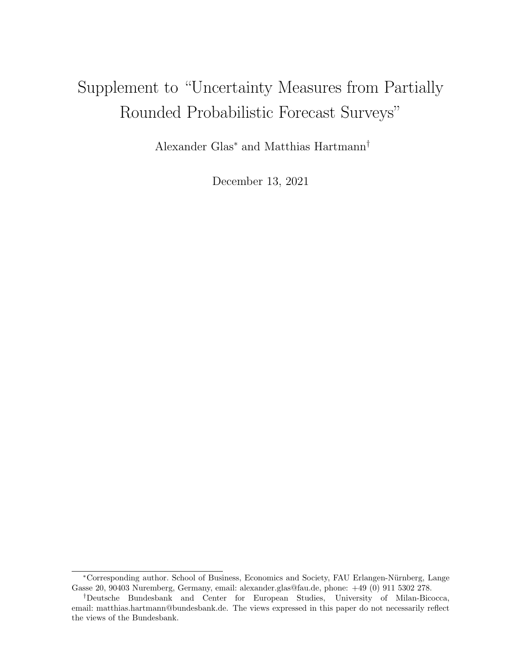## Supplement to "Uncertainty Measures from Partially Rounded Probabilistic Forecast Surveys"

Alexander Glas<sup>∗</sup> and Matthias Hartmann†

December 13, 2021

<sup>∗</sup>Corresponding author. School of Business, Economics and Society, FAU Erlangen-N¨urnberg, Lange Gasse 20, 90403 Nuremberg, Germany, email: alexander.glas@fau.de, phone: +49 (0) 911 5302 278.

<sup>†</sup>Deutsche Bundesbank and Center for European Studies, University of Milan-Bicocca, email: matthias.hartmann@bundesbank.de. The views expressed in this paper do not necessarily reflect the views of the Bundesbank.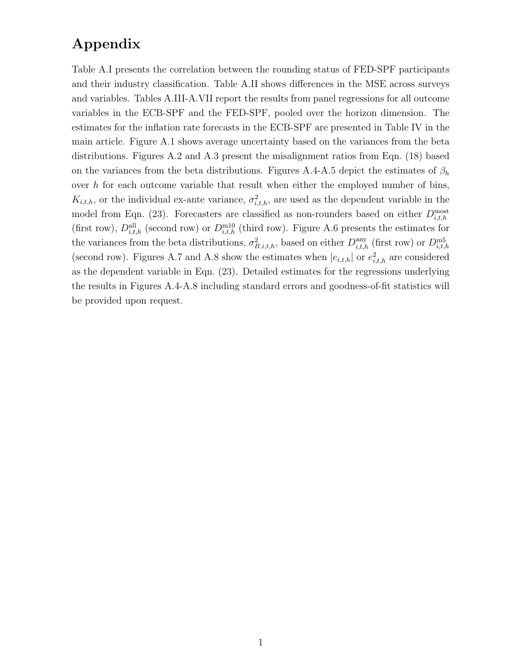## Appendix

Table [A.I](#page-2-0) presents the correlation between the rounding status of FED-SPF participants and their industry classification. Table [A.II](#page-2-1) shows differences in the MSE across surveys and variables. Tables [A.III](#page-3-0)[-A.VII](#page-7-0) report the results from panel regressions for all outcome variables in the ECB-SPF and the FED-SPF, pooled over the horizon dimension. The estimates for the inflation rate forecasts in the ECB-SPF are presented in Table IV in the main article. Figure [A.1](#page-8-0) shows average uncertainty based on the variances from the beta distributions. Figures [A.2](#page-9-0) and [A.3](#page-10-0) present the misalignment ratios from Eqn. (18) based on the variances from the beta distributions. Figures [A.4](#page-11-0)[-A.5](#page-12-0) depict the estimates of  $\beta_h$ over  $h$  for each outcome variable that result when either the employed number of bins,  $K_{i,t,h}$ , or the individual ex-ante variance,  $\sigma_{i,t,h}^2$ , are used as the dependent variable in the model from Eqn. (23). Forecasters are classified as non-rounders based on either  $D_{i,t,h}^{\text{most}}$ (first row),  $D_{i,t,h}^{\text{all}}$  (second row) or  $D_{i,t,h}^{\text{m10}}$  (third row). Figure [A.6](#page-13-0) presents the estimates for the variances from the beta distributions,  $\sigma_{B,i,t,h}^2$ , based on either  $D_{i,t,h}^{\text{any}}$  (first row) or  $D_{i,t,h}^{\text{m5}}$ (second row). Figures [A.7](#page-14-0) and [A.8](#page-15-0) show the estimates when  $|e_{i,t,h}|$  or  $e_{i,t,h}^2$  are considered as the dependent variable in Eqn. (23). Detailed estimates for the regressions underlying the results in Figures [A.4-](#page-11-0)[A.8](#page-15-0) including standard errors and goodness-of-fit statistics will be provided upon request.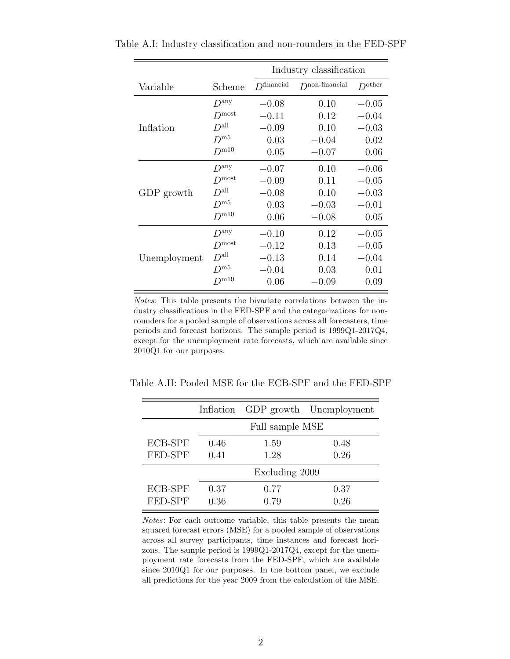|              |                   | Industry classification |                     |                    |  |  |  |  |
|--------------|-------------------|-------------------------|---------------------|--------------------|--|--|--|--|
| Variable     | Scheme            | D <sup>final</sup>      | $D^{non-financial}$ | $D^{\text{other}}$ |  |  |  |  |
|              | $\Gamma$ any      | $-0.08$                 | 0.10                | $-0.05$            |  |  |  |  |
|              | D <sub>most</sub> | $-0.11$                 | 0.12                | $-0.04$            |  |  |  |  |
| Inflation    | D <sup>all</sup>  | $-0.09$                 | 0.10                | $-0.03$            |  |  |  |  |
|              | D <sup>m5</sup>   | 0.03                    | $-0.04$             | 0.02               |  |  |  |  |
|              | $D^{m10}$         | 0.05                    | $-0.07$             | 0.06               |  |  |  |  |
|              | $\Gamma$ any      | $-0.07$                 | 0.10                | $-0.06$            |  |  |  |  |
|              | D <sub>most</sub> | $-0.09$                 | 0.11                | $-0.05$            |  |  |  |  |
| GDP growth   | D <sub>all</sub>  | $-0.08$                 | 0.10                | $-0.03$            |  |  |  |  |
|              | $D^{\rm m5}$      | 0.03                    | $-0.03$             | $-0.01$            |  |  |  |  |
|              | $D^{\text{m10}}$  | 0.06                    | $-0.08$             | 0.05               |  |  |  |  |
|              | $\Gamma$ any      | $-0.10$                 | 0.12                | $-0.05$            |  |  |  |  |
|              | D <sub>most</sub> | $-0.12$                 | 0.13                | $-0.05$            |  |  |  |  |
| Unemployment | D <sup>all</sup>  | $-0.13$                 | 0.14                | $-0.04$            |  |  |  |  |
|              | $D^{\rm m5}$      | $-0.04$                 | 0.03                | 0.01               |  |  |  |  |
|              | $D^{\text{m10}}$  | 0.06                    | $-0.09$             | 0.09               |  |  |  |  |

<span id="page-2-0"></span>Table A.I: Industry classification and non-rounders in the FED-SPF

Notes: This table presents the bivariate correlations between the industry classifications in the FED-SPF and the categorizations for nonrounders for a pooled sample of observations across all forecasters, time periods and forecast horizons. The sample period is 1999Q1-2017Q4, except for the unemployment rate forecasts, which are available since 2010Q1 for our purposes.

|                |      |                 | Inflation GDP growth Unemployment |
|----------------|------|-----------------|-----------------------------------|
|                |      | Full sample MSE |                                   |
| ECB-SPF        | 0.46 | 1.59            | 0.48                              |
| FED-SPF        | 0.41 | 1.28            | 0.26                              |
|                |      | Excluding 2009  |                                   |
| <b>ECB-SPF</b> | 0.37 | 0.77            | 0.37                              |
| FED-SPF        | 0.36 | 0.79            | 0.26                              |

<span id="page-2-1"></span>Table A.II: Pooled MSE for the ECB-SPF and the FED-SPF

Notes: For each outcome variable, this table presents the mean squared forecast errors (MSE) for a pooled sample of observations across all survey participants, time instances and forecast horizons. The sample period is 1999Q1-2017Q4, except for the unemployment rate forecasts from the FED-SPF, which are available since 2010Q1 for our purposes. In the bottom panel, we exclude all predictions for the year 2009 from the calculation of the MSE.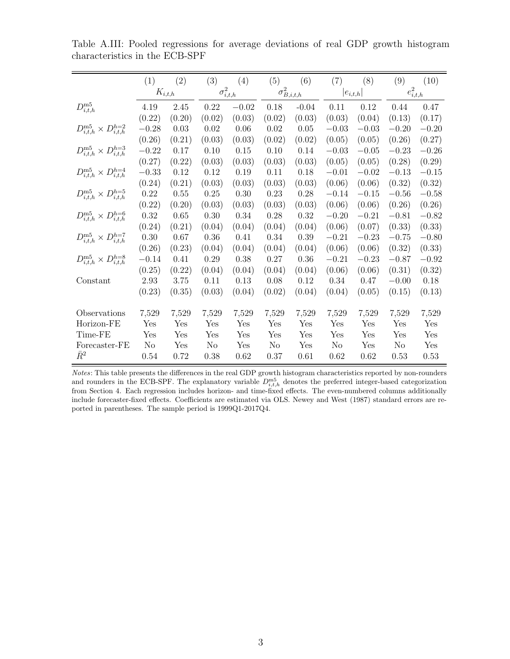<span id="page-3-0"></span>

|                                                          | (1)            | (2)                   | (3)          | (4)                            | (5)            | (6)                  | (7)      | (8)           | (9)                       | (10)    |
|----------------------------------------------------------|----------------|-----------------------|--------------|--------------------------------|----------------|----------------------|----------|---------------|---------------------------|---------|
|                                                          |                | $\mathcal{K}_{i,t,h}$ |              | $\sigma^2_{\underline{i,t},h}$ |                | $\sigma^2_{B,i,t,h}$ |          | $ e_{i,t,h} $ | $e_{i,\underline{t},h}^2$ |         |
| $D_{i,t,h}^{\rm m5}$                                     | 4.19           | 2.45                  | 0.22         | $-0.02$                        | 0.18           | $-0.04$              | 0.11     | 0.12          | 0.44                      | 0.47    |
|                                                          | (0.22)         | (0.20)                | (0.02)       | (0.03)                         | (0.02)         | (0.03)               | (0.03)   | (0.04)        | (0.13)                    | (0.17)  |
| $D_{i,t,h}^{h=2}$<br>$D_{i,t,h}^{\rm m5}$ ×              | $-0.28$        | 0.03                  | 0.02         | 0.06                           | 0.02           | 0.05                 | $-0.03$  | $-0.03$       | $-0.20$                   | $-0.20$ |
|                                                          | (0.26)         | (0.21)                | (0.03)       | (0.03)                         | (0.02)         | (0.02)               | (0.05)   | (0.05)        | (0.26)                    | (0.27)  |
| $D_{i,t,h}^{h=3}$<br>$D_{i,t,h}^{\text{m5}}$<br>$\times$ | $-0.22$        | 0.17                  | 0.10         | $0.15\,$                       | 0.10           | 0.14                 | $-0.03$  | $-0.05$       | $-0.23$                   | $-0.26$ |
|                                                          | (0.27)         | (0.22)                | (0.03)       | (0.03)                         | (0.03)         | (0.03)               | (0.05)   | (0.05)        | (0.28)                    | (0.29)  |
| $\times D^{h=4}_{i,t,h}$<br>$D_{i,t,h}^{\text{m5}}$      | $-0.33\,$      | 0.12                  | 0.12         | 0.19                           | 0.11           | 0.18                 | $-0.01$  | $-0.02$       | $-0.13$                   | $-0.15$ |
|                                                          | (0.24)         | (0.21)                | (0.03)       | (0.03)                         | (0.03)         | (0.03)               | (0.06)   | (0.06)        | (0.32)                    | (0.32)  |
| $D_{i,t,h}^{\rm m5} \times D_{i,t,h}^{h=5}$              | $0.22\,$       | 0.55                  | 0.25         | $0.30\,$                       | 0.23           | 0.28                 | $-0.14$  | $-0.15$       | $-0.56$                   | $-0.58$ |
|                                                          | (0.22)         | (0.20)                | (0.03)       | (0.03)                         | (0.03)         | (0.03)               | (0.06)   | (0.06)        | (0.26)                    | (0.26)  |
| $D_{i,t,h}^{\text{m5}} \times D_{i,t,h}^{h=6}$           | $0.32\,$       | 0.65                  | 0.30         | 0.34                           | 0.28           | 0.32                 | $-0.20$  | $-0.21$       | $-0.81$                   | $-0.82$ |
|                                                          | (0.24)         | (0.21)                | (0.04)       | (0.04)                         | (0.04)         | (0.04)               | (0.06)   | (0.07)        | (0.33)                    | (0.33)  |
| $D_{i,t,h}^{\text{m5}} \times D_{i,t,h}^{h=7}$           | 0.30           | 0.67                  | 0.36         | 0.41                           | 0.34           | 0.39                 | $-0.21$  | $-0.23$       | $-0.75$                   | $-0.80$ |
|                                                          | (0.26)         | (0.23)                | (0.04)       | (0.04)                         | (0.04)         | (0.04)               | (0.06)   | (0.06)        | (0.32)                    | (0.33)  |
| $D_{i,t,h}^{\rm m5} \times D_{i,t,h}^{h=8}$              | $-0.14$        | 0.41                  | 0.29         | 0.38                           | 0.27           | 0.36                 | $-0.21$  | $-0.23$       | $-0.87$                   | $-0.92$ |
|                                                          | (0.25)         | (0.22)                | (0.04)       | (0.04)                         | (0.04)         | (0.04)               | (0.06)   | (0.06)        | (0.31)                    | (0.32)  |
| Constant                                                 | 2.93           | 3.75                  | 0.11         | 0.13                           | 0.08           | 0.12                 | 0.34     | 0.47          | $-0.00$                   | 0.18    |
|                                                          | (0.23)         | (0.35)                | (0.03)       | (0.04)                         | (0.02)         | (0.04)               | (0.04)   | (0.05)        | (0.15)                    | (0.13)  |
|                                                          |                |                       |              |                                |                |                      |          |               |                           |         |
| Observations                                             | 7,529          | 7,529                 | 7,529        | 7,529                          | 7,529          | 7,529                | 7,529    | 7,529         | 7,529                     | 7,529   |
| Horizon-FE                                               | Yes            | Yes                   | Yes          | Yes                            | Yes            | Yes                  | Yes      | Yes           | Yes                       | Yes     |
| Time-FE                                                  | Yes            | Yes                   | $_{\rm Yes}$ | Yes                            | Yes            | Yes                  | Yes      | Yes           | Yes                       | Yes     |
| Forecaster-FE                                            | N <sub>o</sub> | Yes                   | No           | Yes                            | N <sub>o</sub> | Yes                  | $\rm No$ | Yes           | $\rm No$                  | Yes     |
| $\bar{R}^2$                                              | 0.54           | 0.72                  | 0.38         | $0.62\,$                       | 0.37           | 0.61                 | 0.62     | 0.62          | 0.53                      | 0.53    |

Table A.III: Pooled regressions for average deviations of real GDP growth histogram characteristics in the ECB-SPF

Notes: This table presents the differences in the real GDP growth histogram characteristics reported by non-rounders and rounders in the ECB-SPF. The explanatory variable  $D_{i,t,h}^{\text{m5}}$  denotes the preferred integer-based categorization from Section 4. Each regression includes horizon- and time-fixed effects. The even-numbered columns additionally include forecaster-fixed effects. Coefficients are estimated via OLS. Newey and West (1987) standard errors are reported in parentheses. The sample period is 1999Q1-2017Q4.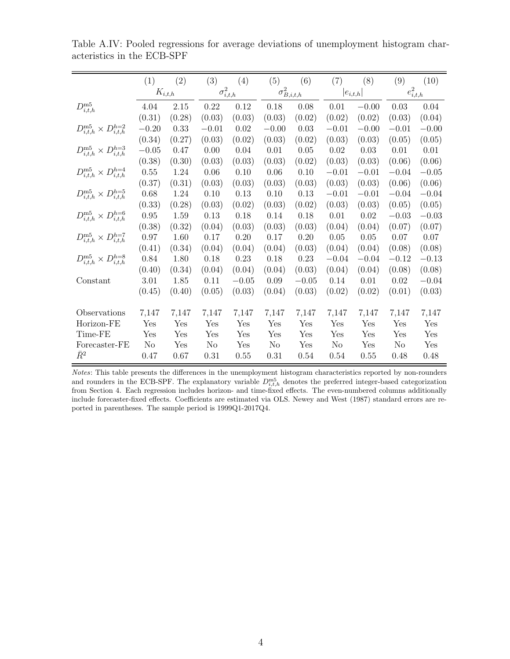|                                                    | (1)            | (2)                   | (3)      | (4)                | (5)      | (6)                  | (7)      | (8)           | (9)           | (10)    |
|----------------------------------------------------|----------------|-----------------------|----------|--------------------|----------|----------------------|----------|---------------|---------------|---------|
|                                                    |                | $\mathcal{K}_{i,t,h}$ |          | $\sigma^2_{i,t,h}$ |          | $\sigma^2_{B,i,t,h}$ |          | $ e_{i,t,h} $ | $e_{i,t,h}^2$ |         |
| $D_{i,t,h}^{\rm m5}$                               | 4.04           | 2.15                  | $0.22\,$ | $0.12\,$           | 0.18     | $0.08\,$             | 0.01     | $-0.00$       | 0.03          | 0.04    |
|                                                    | (0.31)         | (0.28)                | (0.03)   | (0.03)             | (0.03)   | (0.02)               | (0.02)   | (0.02)        | (0.03)        | (0.04)  |
| $D_{i,t,h}^{h=2}$<br>$D_{i,t,h}^{\rm m5}$ ×        | $-0.20$        | 0.33                  | $-0.01$  | 0.02               | $-0.00$  | 0.03                 | $-0.01$  | $-0.00$       | $-0.01$       | $-0.00$ |
|                                                    | (0.34)         | (0.27)                | (0.03)   | (0.02)             | (0.03)   | (0.02)               | (0.03)   | (0.03)        | (0.05)        | (0.05)  |
| $D_{i,t,h}^{h=3}$<br>$D_{i,t,h}^{\rm m5}$ $\times$ | $-0.05\,$      | 0.47                  | 0.00     | $0.04\,$           | 0.01     | $0.05\,$             | $0.02\,$ | 0.03          | 0.01          | 0.01    |
|                                                    | (0.38)         | (0.30)                | (0.03)   | (0.03)             | (0.03)   | (0.02)               | (0.03)   | (0.03)        | (0.06)        | (0.06)  |
| $D_{i,t,h}^{\text{m5}} \times D_{i,t,h}^{h=4}$     | 0.55           | 1.24                  | 0.06     | 0.10               | 0.06     | 0.10                 | $-0.01$  | $-0.01$       | $-0.04$       | $-0.05$ |
|                                                    | (0.37)         | (0.31)                | (0.03)   | (0.03)             | (0.03)   | (0.03)               | (0.03)   | (0.03)        | (0.06)        | (0.06)  |
| $D_{i,t,h}^{\rm m5} \times D_{i,t,h}^{h=5}$        | 0.68           | $1.24\,$              | 0.10     | 0.13               | 0.10     | 0.13                 | $-0.01$  | $-0.01$       | $-0.04$       | $-0.04$ |
|                                                    | (0.33)         | (0.28)                | (0.03)   | (0.02)             | (0.03)   | (0.02)               | (0.03)   | (0.03)        | (0.05)        | (0.05)  |
| $D_{i,t,h}^{\rm m5} \times D_{i,t,h}^{h=6}$        | $0.95\,$       | 1.59                  | 0.13     | 0.18               | 0.14     | 0.18                 | 0.01     | 0.02          | $-0.03$       | $-0.03$ |
|                                                    | (0.38)         | (0.32)                | (0.04)   | (0.03)             | (0.03)   | (0.03)               | (0.04)   | (0.04)        | (0.07)        | (0.07)  |
| $D_{i,t,h}^{\rm m5} \times D_{i,t,h}^{h=7}$        | 0.97           | 1.60                  | 0.17     | 0.20               | 0.17     | 0.20                 | 0.05     | 0.05          | 0.07          | 0.07    |
|                                                    | (0.41)         | (0.34)                | (0.04)   | (0.04)             | (0.04)   | (0.03)               | (0.04)   | (0.04)        | (0.08)        | (0.08)  |
| $D_{i,t,h}^{\rm m5} \times D_{i,t,h}^{h=8}$        | 0.84           | 1.80                  | 0.18     | 0.23               | 0.18     | 0.23                 | $-0.04$  | $-0.04$       | $-0.12$       | $-0.13$ |
|                                                    | (0.40)         | (0.34)                | (0.04)   | (0.04)             | (0.04)   | (0.03)               | (0.04)   | (0.04)        | (0.08)        | (0.08)  |
| Constant                                           | 3.01           | 1.85                  | 0.11     | $-0.05$            | 0.09     | $-0.05$              | 0.14     | 0.01          | $0.02\,$      | $-0.04$ |
|                                                    | (0.45)         | (0.40)                | (0.05)   | (0.03)             | (0.04)   | (0.03)               | (0.02)   | (0.02)        | (0.01)        | (0.03)  |
|                                                    |                |                       |          |                    |          |                      |          |               |               |         |
| Observations                                       | 7,147          | 7,147                 | 7,147    | 7,147              | 7,147    | 7,147                | 7,147    | 7,147         | 7,147         | 7,147   |
| Horizon-FE                                         | Yes            | Yes                   | Yes      | Yes                | Yes      | Yes                  | Yes      | Yes           | Yes           | Yes     |
| Time-FE                                            | Yes            | Yes                   | Yes      | Yes                | Yes      | Yes                  | Yes      | Yes           | Yes           | Yes     |
| Forecaster-FE                                      | N <sub>o</sub> | Yes                   | No       | Yes                | $\rm No$ | Yes                  | No       | Yes           | No            | Yes     |
| $\bar{R}^2$                                        | 0.47           | 0.67                  | 0.31     | 0.55               | 0.31     | 0.54                 | 0.54     | 0.55          | 0.48          | 0.48    |

Table A.IV: Pooled regressions for average deviations of unemployment histogram characteristics in the ECB-SPF

Notes: This table presents the differences in the unemployment histogram characteristics reported by non-rounders and rounders in the ECB-SPF. The explanatory variable  $D_{i,t,h}^{\text{m5}}$  denotes the preferred integer-based categorization from Section 4. Each regression includes horizon- and time-fixed effects. The even-numbered columns additionally include forecaster-fixed effects. Coefficients are estimated via OLS. Newey and West (1987) standard errors are reported in parentheses. The sample period is 1999Q1-2017Q4.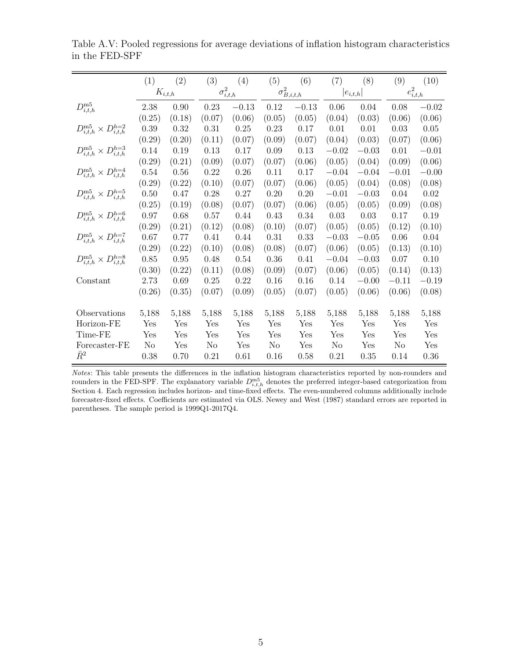|                                                          | (1)      | (2)                   | (3)      | (4)                | (5)            | (6)                  | (7)     | (8)           | (9)                       | (10)     |
|----------------------------------------------------------|----------|-----------------------|----------|--------------------|----------------|----------------------|---------|---------------|---------------------------|----------|
|                                                          |          | $\mathcal{K}_{i,t,h}$ |          | $\sigma^2_{i,t,h}$ |                | $\sigma^2_{B,i,t,h}$ |         | $ e_{i,t,h} $ | $e_{i,\underline{t},h}^2$ |          |
| $D_{i,t,h}^{\rm m5}$                                     | 2.38     | 0.90                  | 0.23     | $-0.13$            | 0.12           | $-0.13$              | 0.06    | 0.04          | 0.08                      | $-0.02$  |
|                                                          | (0.25)   | (0.18)                | (0.07)   | (0.06)             | (0.05)         | (0.05)               | (0.04)  | (0.03)        | (0.06)                    | (0.06)   |
| $D_{i,t,h}^{h=2}$<br>$D_{i,t,h}^{\rm m5}$ ×              | 0.39     | 0.32                  | 0.31     | $0.25\,$           | 0.23           | 0.17                 | 0.01    | 0.01          | 0.03                      | 0.05     |
|                                                          | (0.29)   | (0.20)                | (0.11)   | (0.07)             | (0.09)         | (0.07)               | (0.04)  | (0.03)        | (0.07)                    | (0.06)   |
| $D_{i,t,h}^{h=3}$<br>$D_{i,t,h}^{\text{m5}}$<br>$\times$ | 0.14     | 0.19                  | 0.13     | 0.17               | 0.09           | 0.13                 | $-0.02$ | $-0.03$       | 0.01                      | $-0.01$  |
|                                                          | (0.29)   | (0.21)                | (0.09)   | (0.07)             | (0.07)         | (0.06)               | (0.05)  | (0.04)        | (0.09)                    | (0.06)   |
| $\times D^{h=4}_{i,t,h}$<br>$D_{i,t,h}^{\text{m5}}$      | 0.54     | 0.56                  | 0.22     | 0.26               | 0.11           | 0.17                 | $-0.04$ | $-0.04$       | $-0.01$                   | $-0.00$  |
|                                                          | (0.29)   | (0.22)                | (0.10)   | (0.07)             | (0.07)         | (0.06)               | (0.05)  | (0.04)        | (0.08)                    | (0.08)   |
| $D_{i,t,h}^{\text{m5}} \times D_{i,t,h}^{h=5}$           | 0.50     | 0.47                  | 0.28     | $0.27\,$           | $0.20\,$       | $0.20\,$             | $-0.01$ | $-0.03$       | 0.04                      | 0.02     |
|                                                          | (0.25)   | (0.19)                | (0.08)   | (0.07)             | (0.07)         | (0.06)               | (0.05)  | (0.05)        | (0.09)                    | (0.08)   |
| $D_{i,t,h}^{\rm m5} \times D_{i,t,h}^{h=6}$              | $0.97\,$ | 0.68                  | 0.57     | 0.44               | 0.43           | 0.34                 | 0.03    | 0.03          | 0.17                      | 0.19     |
|                                                          | (0.29)   | (0.21)                | (0.12)   | (0.08)             | (0.10)         | (0.07)               | (0.05)  | (0.05)        | (0.12)                    | (0.10)   |
| $D_{i,t,h}^{\text{m5}} \times D_{i,t,h}^{h=7}$           | 0.67     | 0.77                  | 0.41     | 0.44               | 0.31           | 0.33                 | $-0.03$ | $-0.05$       | 0.06                      | $0.04\,$ |
|                                                          | (0.29)   | (0.22)                | (0.10)   | (0.08)             | (0.08)         | (0.07)               | (0.06)  | (0.05)        | (0.13)                    | (0.10)   |
| $D_{i,t,h}^{\rm m5} \times D_{i,t,h}^{h=8}$              | 0.85     | 0.95                  | 0.48     | 0.54               | 0.36           | 0.41                 | $-0.04$ | $-0.03$       | 0.07                      | 0.10     |
|                                                          | (0.30)   | (0.22)                | (0.11)   | (0.08)             | (0.09)         | (0.07)               | (0.06)  | (0.05)        | (0.14)                    | (0.13)   |
| Constant                                                 | 2.73     | 0.69                  | $0.25\,$ | 0.22               | 0.16           | $0.16\,$             | 0.14    | $-0.00$       | $-0.11$                   | $-0.19$  |
|                                                          | (0.26)   | (0.35)                | (0.07)   | (0.09)             | (0.05)         | (0.07)               | (0.05)  | (0.06)        | (0.06)                    | (0.08)   |
|                                                          |          |                       |          |                    |                |                      |         |               |                           |          |
| Observations                                             | 5,188    | 5,188                 | 5,188    | 5,188              | 5,188          | 5,188                | 5,188   | 5,188         | 5,188                     | 5,188    |
| Horizon-FE                                               | Yes      | Yes                   | Yes      | Yes                | Yes            | Yes                  | Yes     | Yes           | Yes                       | Yes      |
| Time-FE                                                  | Yes      | Yes                   | Yes      | Yes                | Yes            | Yes                  | Yes     | Yes           | Yes                       | Yes      |
| Forecaster-FE                                            | No       | Yes                   | No       | Yes                | N <sub>o</sub> | Yes                  | No      | Yes           | $\rm No$                  | Yes      |
| $\bar{R}^2$                                              | 0.38     | 0.70                  | 0.21     | 0.61               | 0.16           | 0.58                 | 0.21    | 0.35          | 0.14                      | 0.36     |

Table A.V: Pooled regressions for average deviations of inflation histogram characteristics in the FED-SPF

Notes: This table presents the differences in the inflation histogram characteristics reported by non-rounders and rounders in the FED-SPF. The explanatory variable  $D_{i,t,h}^{\text{m5}}$  denotes the preferred integer-based categorization from Section 4. Each regression includes horizon- and time-fixed effects. The even-numbered columns additionally include forecaster-fixed effects. Coefficients are estimated via OLS. Newey and West (1987) standard errors are reported in parentheses. The sample period is 1999Q1-2017Q4.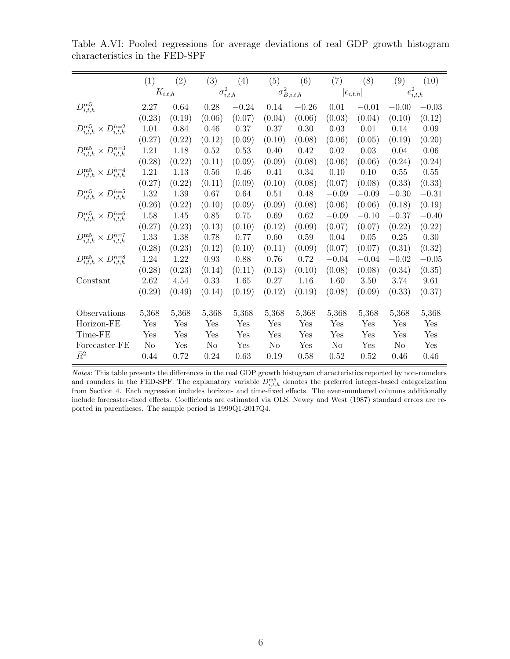|                                                          | (1)                   | (2)    | (3)                | (4)      | (5)                  | (6)     | (7)           | (8)     | (9)                       | (10)     |
|----------------------------------------------------------|-----------------------|--------|--------------------|----------|----------------------|---------|---------------|---------|---------------------------|----------|
|                                                          | $\mathcal{K}_{i,t,h}$ |        | $\sigma^2_{i,t,h}$ |          | $\sigma^2_{B,i,t,h}$ |         | $ e_{i,t,h} $ |         | $e_{i,\underline{t},h}^2$ |          |
| $D_{i,t,h}^{\rm m5}$                                     | 2.27                  | 0.64   | $0.28\,$           | $-0.24$  | 0.14                 | $-0.26$ | 0.01          | $-0.01$ | $-0.00$                   | $-0.03$  |
|                                                          | (0.23)                | (0.19) | (0.06)             | (0.07)   | (0.04)               | (0.06)  | (0.03)        | (0.04)  | (0.10)                    | (0.12)   |
| $D_{i,t,h}^{h=2}$<br>$D_{i,t,h}^{\rm m5}$ ×              | 1.01                  | 0.84   | 0.46               | 0.37     | 0.37                 | 0.30    | 0.03          | 0.01    | 0.14                      | 0.09     |
|                                                          | (0.27)                | (0.22) | (0.12)             | (0.09)   | (0.10)               | (0.08)  | (0.06)        | (0.05)  | (0.19)                    | (0.20)   |
| $D_{i,t,h}^{h=3}$<br>$D_{i,t,h}^{\text{m5}}$<br>$\times$ | 1.21                  | 1.18   | 0.52               | $0.53\,$ | 0.40                 | 0.42    | 0.02          | 0.03    | 0.04                      | 0.06     |
|                                                          | (0.28)                | (0.22) | (0.11)             | (0.09)   | (0.09)               | (0.08)  | (0.06)        | (0.06)  | (0.24)                    | (0.24)   |
| $\times D^{h=4}_{i,t,h}$<br>$D_{i,t,h}^{\text{m5}}$      | 1.21                  | 1.13   | 0.56               | 0.46     | 0.41                 | 0.34    | 0.10          | 0.10    | 0.55                      | 0.55     |
|                                                          | (0.27)                | (0.22) | (0.11)             | (0.09)   | (0.10)               | (0.08)  | (0.07)        | (0.08)  | (0.33)                    | (0.33)   |
| $D_{i,t,h}^{\text{m5}} \times D_{i,t,h}^{h=5}$           | 1.32                  | 1.39   | $0.67\,$           | 0.64     | 0.51                 | 0.48    | $-0.09$       | $-0.09$ | $-0.30$                   | $-0.31$  |
|                                                          | (0.26)                | (0.22) | (0.10)             | (0.09)   | (0.09)               | (0.08)  | (0.06)        | (0.06)  | (0.18)                    | (0.19)   |
| $D_{i,t,h}^{\rm m5} \times D_{i,t,h}^{h=6}$              | 1.58                  | 1.45   | 0.85               | 0.75     | 0.69                 | 0.62    | $-0.09$       | $-0.10$ | $-0.37$                   | $-0.40$  |
|                                                          | (0.27)                | (0.23) | (0.13)             | (0.10)   | (0.12)               | (0.09)  | (0.07)        | (0.07)  | (0.22)                    | (0.22)   |
| $D_{i,t,h}^{\text{m5}} \times D_{i,t,h}^{h=7}$           | 1.33                  | 1.38   | 0.78               | 0.77     | 0.60                 | 0.59    | $0.04\,$      | 0.05    | 0.25                      | $0.30\,$ |
|                                                          | (0.28)                | (0.23) | (0.12)             | (0.10)   | (0.11)               | (0.09)  | (0.07)        | (0.07)  | (0.31)                    | (0.32)   |
| $D_{i,t,h}^{\rm m5} \times D_{i,t,h}^{h=8}$              | 1.24                  | 1.22   | 0.93               | 0.88     | 0.76                 | 0.72    | $-0.04$       | $-0.04$ | $-0.02$                   | $-0.05$  |
|                                                          | (0.28)                | (0.23) | (0.14)             | (0.11)   | (0.13)               | (0.10)  | (0.08)        | (0.08)  | (0.34)                    | (0.35)   |
| Constant                                                 | 2.62                  | 4.54   | 0.33               | 1.65     | 0.27                 | 1.16    | 1.60          | 3.50    | 3.74                      | 9.61     |
|                                                          | (0.29)                | (0.49) | (0.14)             | (0.19)   | (0.12)               | (0.19)  | (0.08)        | (0.09)  | (0.33)                    | (0.37)   |
|                                                          |                       |        |                    |          |                      |         |               |         |                           |          |
| Observations                                             | 5,368                 | 5,368  | 5,368              | 5,368    | 5,368                | 5,368   | 5,368         | 5,368   | 5,368                     | 5,368    |
| Horizon-FE                                               | Yes                   | Yes    | Yes                | Yes      | Yes                  | Yes     | Yes           | Yes     | Yes                       | Yes      |
| Time-FE                                                  | Yes                   | Yes    | Yes                | Yes      | Yes                  | Yes     | Yes           | Yes     | Yes                       | Yes      |
| Forecaster-FE                                            | N <sub>o</sub>        | Yes    | No                 | Yes      | N <sub>o</sub>       | Yes     | No            | Yes     | $\rm No$                  | Yes      |
| $\bar{R}^2$                                              | 0.44                  | 0.72   | 0.24               | 0.63     | 0.19                 | 0.58    | 0.52          | 0.52    | 0.46                      | 0.46     |

Table A.VI: Pooled regressions for average deviations of real GDP growth histogram characteristics in the FED-SPF

Notes: This table presents the differences in the real GDP growth histogram characteristics reported by non-rounders and rounders in the FED-SPF. The explanatory variable  $D_{i,t,h}^{\text{m5}}$  denotes the preferred integer-based categorization from Section 4. Each regression includes horizon- and time-fixed effects. The even-numbered columns additionally include forecaster-fixed effects. Coefficients are estimated via OLS. Newey and West (1987) standard errors are reported in parentheses. The sample period is 1999Q1-2017Q4.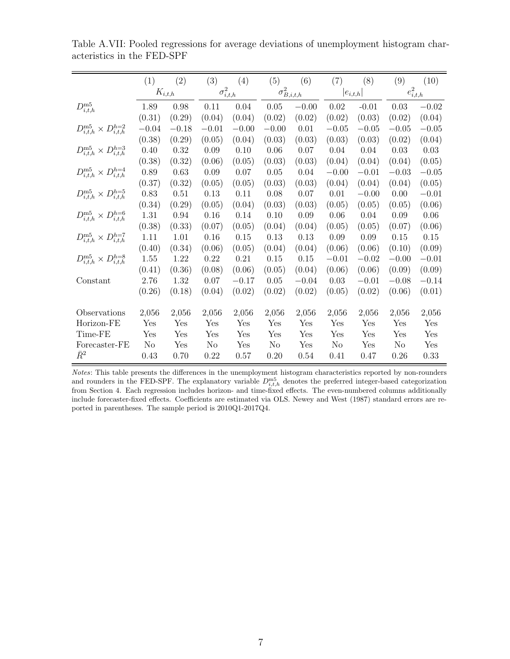<span id="page-7-0"></span>

|                                                | (1)            | (2)                   | (3)          | (4)                | (5)      | (6)                  | (7)            | (8)           | (9)     | (10)                      |  |
|------------------------------------------------|----------------|-----------------------|--------------|--------------------|----------|----------------------|----------------|---------------|---------|---------------------------|--|
|                                                |                | $\mathcal{K}_{i,t,h}$ |              | $\sigma^2_{i,t,h}$ |          | $\sigma^2_{B,i,t,h}$ |                | $ e_{i,t,h} $ |         | $e_{i,\underline{t},h}^2$ |  |
| $D_{i,t,h}^{\rm m5}$                           | 1.89           | 0.98                  | 0.11         | 0.04               | 0.05     | $-0.00$              | 0.02           | $-0.01$       | 0.03    | $-0.02$                   |  |
|                                                | (0.31)         | (0.29)                | (0.04)       | (0.04)             | (0.02)   | (0.02)               | (0.02)         | (0.03)        | (0.02)  | (0.04)                    |  |
| $D_{i,t,h}^{\rm m5} \times D_{i,t,h}^{h=2}$    | $-0.04$        | $-0.18$               | $-0.01$      | $-0.00$            | $-0.00$  | 0.01                 | $-0.05$        | $-0.05$       | $-0.05$ | $-0.05$                   |  |
|                                                | (0.38)         | (0.29)                | (0.05)       | (0.04)             | (0.03)   | (0.03)               | (0.03)         | (0.03)        | (0.02)  | (0.04)                    |  |
| $D_{i,t,h}^{h=3}$<br>$D_{i,t,h}^{\rm m5}$ ×    | 0.40           | 0.32                  | 0.09         | 0.10               | 0.06     | 0.07                 | 0.04           | 0.04          | 0.03    | 0.03                      |  |
|                                                | (0.38)         | (0.32)                | (0.06)       | (0.05)             | (0.03)   | (0.03)               | (0.04)         | (0.04)        | (0.04)  | (0.05)                    |  |
| $D_{i,t,h}^{\text{m5}} \times D_{i,t,h}^{h=4}$ | 0.89           | 0.63                  | 0.09         | 0.07               | 0.05     | 0.04                 | $-0.00$        | $-0.01$       | $-0.03$ | $-0.05$                   |  |
|                                                | (0.37)         | (0.32)                | (0.05)       | (0.05)             | (0.03)   | (0.03)               | (0.04)         | (0.04)        | (0.04)  | (0.05)                    |  |
| $D_{i,t,h}^{\rm m5} \times D_{i,t,h}^{h=5}$    | 0.83           | 0.51                  | 0.13         | 0.11               | 0.08     | 0.07                 | 0.01           | $-0.00$       | 0.00    | $-0.01$                   |  |
|                                                | (0.34)         | (0.29)                | (0.05)       | (0.04)             | (0.03)   | (0.03)               | (0.05)         | (0.05)        | (0.05)  | (0.06)                    |  |
| $D_{i,t,h}^{\rm m5} \times D_{i,t,h}^{h=6}$    | 1.31           | 0.94                  | 0.16         | 0.14               | 0.10     | 0.09                 | 0.06           | 0.04          | 0.09    | 0.06                      |  |
|                                                | (0.38)         | (0.33)                | (0.07)       | (0.05)             | (0.04)   | (0.04)               | (0.05)         | (0.05)        | (0.07)  | (0.06)                    |  |
| $D_{i,t,h}^{\rm m5} \times D_{i,t,h}^{h=7}$    | 1.11           | 1.01                  | 0.16         | $0.15\,$           | 0.13     | 0.13                 | 0.09           | 0.09          | 0.15    | 0.15                      |  |
|                                                | (0.40)         | (0.34)                | (0.06)       | (0.05)             | (0.04)   | (0.04)               | (0.06)         | (0.06)        | (0.10)  | (0.09)                    |  |
| $D_{i,t,h}^{\rm m5} \times D_{i,t,h}^{h=8}$    | $1.55\,$       | 1.22                  | 0.22         | 0.21               | 0.15     | 0.15                 | $-0.01$        | $-0.02$       | $-0.00$ | $-0.01$                   |  |
|                                                | (0.41)         | (0.36)                | (0.08)       | (0.06)             | (0.05)   | (0.04)               | (0.06)         | (0.06)        | (0.09)  | (0.09)                    |  |
| Constant                                       | 2.76           | 1.32                  | 0.07         | $-0.17$            | 0.05     | $-0.04$              | 0.03           | $-0.01$       | $-0.08$ | $-0.14$                   |  |
|                                                | (0.26)         | (0.18)                | (0.04)       | (0.02)             | (0.02)   | (0.02)               | (0.05)         | (0.02)        | (0.06)  | (0.01)                    |  |
|                                                |                |                       |              |                    |          |                      |                |               |         |                           |  |
| Observations                                   | 2,056          | 2,056                 | 2,056        | 2,056              | 2,056    | 2,056                | 2,056          | 2,056         | 2,056   | 2,056                     |  |
| Horizon-FE                                     | Yes            | Yes                   | Yes          | Yes                | Yes      | Yes                  | Yes            | Yes           | Yes     | Yes                       |  |
| Time-FE                                        | Yes            | Yes                   | $_{\rm Yes}$ | Yes                | Yes      | Yes                  | Yes            | Yes           | Yes     | Yes                       |  |
| Forecaster-FE                                  | N <sub>o</sub> | Yes                   | No           | Yes                | $\rm No$ | Yes                  | N <sub>o</sub> | Yes           | No      | Yes                       |  |
| $\bar{R}^2$                                    | 0.43           | 0.70                  | 0.22         | 0.57               | 0.20     | 0.54                 | 0.41           | 0.47          | 0.26    | 0.33                      |  |

Table A.VII: Pooled regressions for average deviations of unemployment histogram characteristics in the FED-SPF

Notes: This table presents the differences in the unemployment histogram characteristics reported by non-rounders and rounders in the FED-SPF. The explanatory variable  $D_{i,t,h}^{\text{m5}}$  denotes the preferred integer-based categorization from Section 4. Each regression includes horizon- and time-fixed effects. The even-numbered columns additionally include forecaster-fixed effects. Coefficients are estimated via OLS. Newey and West (1987) standard errors are reported in parentheses. The sample period is 2010Q1-2017Q4.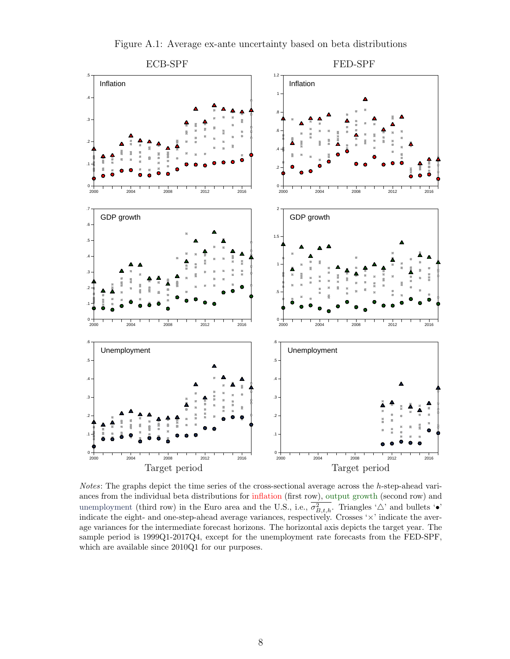<span id="page-8-0"></span>

Figure A.1: Average ex-ante uncertainty based on beta distributions

Notes: The graphs depict the time series of the cross-sectional average across the h-step-ahead variances from the individual beta distributions for inflation (first row), output growth (second row) and unemployment (third row) in the Euro area and the U.S., i.e.,  $\sigma_{B,t,h}^2$ . Triangles ' $\triangle$ ' and bullets ' $\bullet$ ' indicate the eight- and one-step-ahead average variances, respectively. Crosses '×' indicate the average variances for the intermediate forecast horizons. The horizontal axis depicts the target year. The sample period is 1999Q1-2017Q4, except for the unemployment rate forecasts from the FED-SPF, which are available since 2010Q1 for our purposes.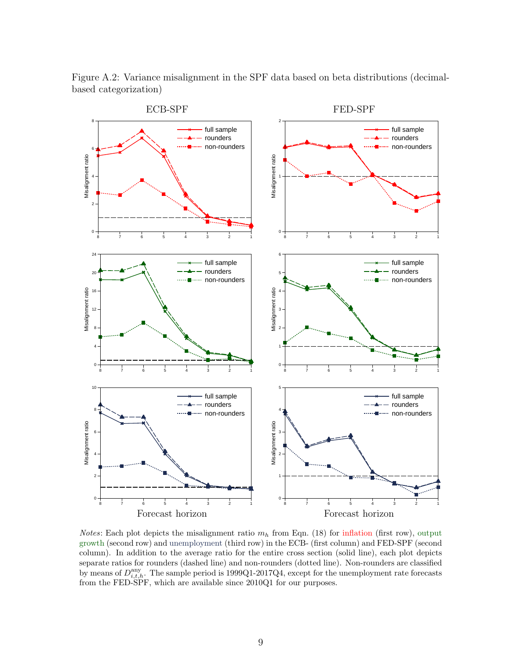<span id="page-9-0"></span>

Figure A.2: Variance misalignment in the SPF data based on beta distributions (decimalbased categorization)

*Notes*: Each plot depicts the misalignment ratio  $m_h$  from Eqn. (18) for inflation (first row), output growth (second row) and unemployment (third row) in the ECB- (first column) and FED-SPF (second column). In addition to the average ratio for the entire cross section (solid line), each plot depicts separate ratios for rounders (dashed line) and non-rounders (dotted line). Non-rounders are classified by means of  $D_{i,t,h}^{\text{any}}$ . The sample period is 1999Q1-2017Q4, except for the unemployment rate forecasts from the FED-SPF, which are available since 2010Q1 for our purposes.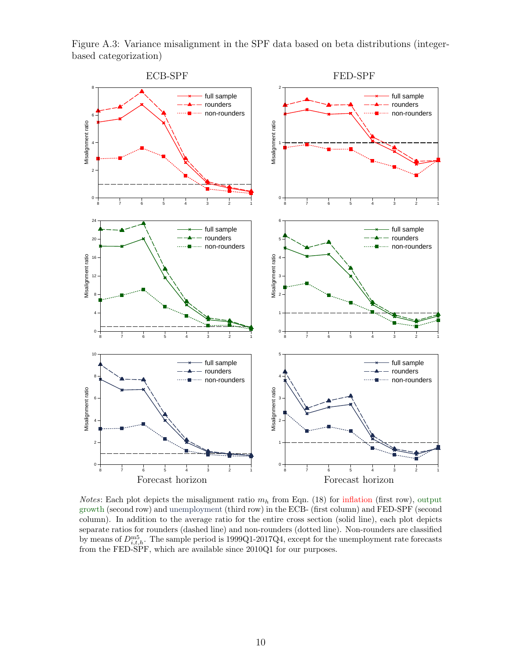<span id="page-10-0"></span>

Figure A.3: Variance misalignment in the SPF data based on beta distributions (integerbased categorization)

*Notes*: Each plot depicts the misalignment ratio  $m_h$  from Eqn. (18) for inflation (first row), output growth (second row) and unemployment (third row) in the ECB- (first column) and FED-SPF (second column). In addition to the average ratio for the entire cross section (solid line), each plot depicts separate ratios for rounders (dashed line) and non-rounders (dotted line). Non-rounders are classified by means of  $D_{i,t,h}^{\text{m5}}$ . The sample period is 1999Q1-2017Q4, except for the unemployment rate forecasts from the FED-SPF, which are available since 2010Q1 for our purposes.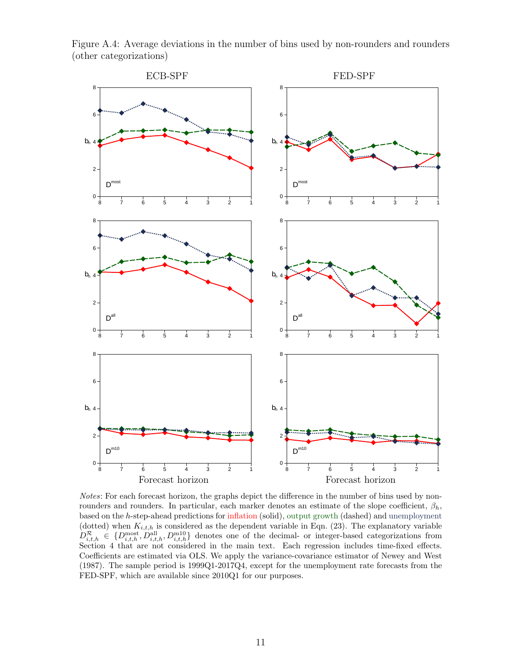<span id="page-11-0"></span>

Figure A.4: Average deviations in the number of bins used by non-rounders and rounders (other categorizations)

Notes: For each forecast horizon, the graphs depict the difference in the number of bins used by nonrounders and rounders. In particular, each marker denotes an estimate of the slope coefficient,  $\beta_h$ , based on the h-step-ahead predictions for inflation (solid), output growth (dashed) and unemployment (dotted) when  $K_{i,t,h}$  is considered as the dependent variable in Eqn. (23). The explanatory variable  $D_{i,t,h}^{\mathcal{R}} \in \{D_{i,t,h}^{\text{most}}, D_{i,t,h}^{\text{all}}, D_{i,t,h}^{\text{m10}}\}$  denotes one of the decimal- or integer-based categorizations from Section 4 that are not considered in the main text. Each regression includes time-fixed effects. Coefficients are estimated via OLS. We apply the variance-covariance estimator of Newey and West (1987). The sample period is 1999Q1-2017Q4, except for the unemployment rate forecasts from the FED-SPF, which are available since 2010Q1 for our purposes.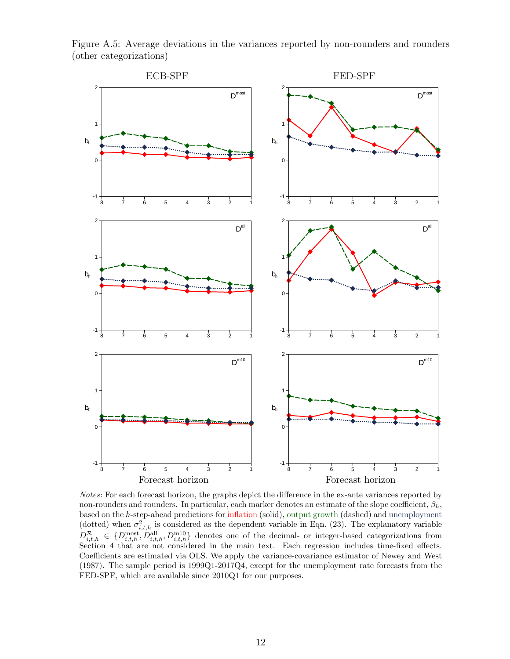<span id="page-12-0"></span>

Figure A.5: Average deviations in the variances reported by non-rounders and rounders (other categorizations)

Notes: For each forecast horizon, the graphs depict the difference in the ex-ante variances reported by non-rounders and rounders. In particular, each marker denotes an estimate of the slope coefficient,  $\beta_h$ , based on the h-step-ahead predictions for inflation (solid), output growth (dashed) and unemployment (dotted) when  $\sigma_{i,t,h}^2$  is considered as the dependent variable in Eqn. (23). The explanatory variable  $D_{i,t,h}^{\mathcal{R}} \in \{D_{i,t,h}^{\text{most}}, D_{i,t,h}^{\text{all}}, D_{i,t,h}^{\text{m10}}\}$  denotes one of the decimal- or integer-based categorizations from Section 4 that are not considered in the main text. Each regression includes time-fixed effects. Coefficients are estimated via OLS. We apply the variance-covariance estimator of Newey and West (1987). The sample period is 1999Q1-2017Q4, except for the unemployment rate forecasts from the FED-SPF, which are available since 2010Q1 for our purposes.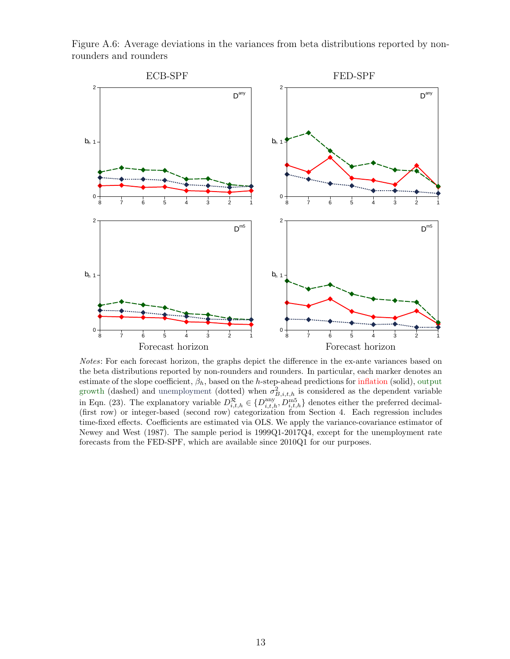Figure A.6: Average deviations in the variances from beta distributions reported by nonrounders and rounders

<span id="page-13-0"></span>![](_page_13_Figure_1.jpeg)

Notes: For each forecast horizon, the graphs depict the difference in the ex-ante variances based on the beta distributions reported by non-rounders and rounders. In particular, each marker denotes an estimate of the slope coefficient,  $\beta_h$ , based on the h-step-ahead predictions for inflation (solid), output growth (dashed) and unemployment (dotted) when  $\sigma_{B,i,t,h}^2$  is considered as the dependent variable in Eqn. (23). The explanatory variable  $D_{i,t,h}^{\mathcal{R}} \in \{D_{i,t,h}^{\text{any}}, D_{i,t,h}^{\text{my}}\}$  denotes either the preferred decimal-(first row) or integer-based (second row) categorization from Section 4. Each regression includes time-fixed effects. Coefficients are estimated via OLS. We apply the variance-covariance estimator of Newey and West (1987). The sample period is 1999Q1-2017Q4, except for the unemployment rate forecasts from the FED-SPF, which are available since 2010Q1 for our purposes.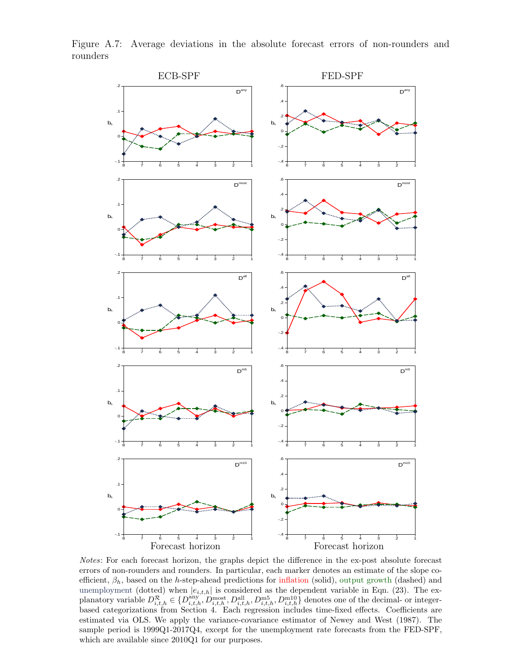![](_page_14_Figure_0.jpeg)

<span id="page-14-0"></span>Figure A.7: Average deviations in the absolute forecast errors of non-rounders and rounders

Notes: For each forecast horizon, the graphs depict the difference in the ex-post absolute forecast errors of non-rounders and rounders. In particular, each marker denotes an estimate of the slope coefficient,  $\beta_h$ , based on the h-step-ahead predictions for inflation (solid), output growth (dashed) and unemployment (dotted) when  $|e_{i,t,h}|$  is considered as the dependent variable in Eqn. (23). The explanatory variable  $D_{i,t,h}^{\mathcal{R}} \in \{D_{i,t,h}^{\text{any}}, D_{i,t,h}^{\text{most}}, D_{i,t,h}^{\text{all}}, D_{i,t,h}^{\text{m5}}, D_{i,t,h}^{\text{m10}}\}$  denotes one of the decimal- or integerbased categorizations from Section 4. Each regression includes time-fixed effects. Coefficients are estimated via OLS. We apply the variance-covariance estimator of Newey and West (1987). The sample period is 1999Q1-2017Q4, except for the unemployment rate forecasts from the FED-SPF, which are available since 2010Q1 for our purposes.